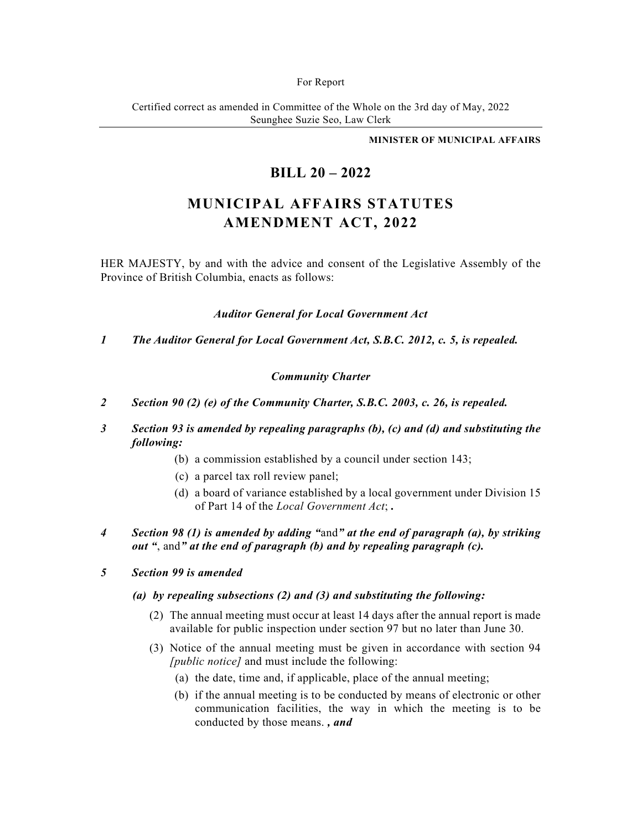#### For Report

Certified correct as amended in Committee of the Whole on the 3rd day of May, 2022 Seunghee Suzie Seo, Law Clerk

#### **MINISTER OF MUNICIPAL AFFAIRS**

## **BILL 20 – 2022**

# **MUNICIPAL AFFAIRS STATUTES AMENDMENT ACT, 2022**

HER MAJESTY, by and with the advice and consent of the Legislative Assembly of the Province of British Columbia, enacts as follows:

*Auditor General for Local Government Act* 

*1 The Auditor General for Local Government Act, S.B.C. 2012, c. 5, is repealed.* 

## *Community Charter*

- *2 Section 90 (2) (e) of the Community Charter, S.B.C. 2003, c. 26, is repealed.*
- *3 Section 93 is amended by repealing paragraphs (b), (c) and (d) and substituting the following:* 
	- (b) a commission established by a council under section 143;
	- (c) a parcel tax roll review panel;
	- (d) a board of variance established by a local government under Division 15 of Part 14 of the *Local Government Act*; *.*
- *4 Section 98 (1) is amended by adding "*and*" at the end of paragraph (a), by striking out "*, and*" at the end of paragraph (b) and by repealing paragraph (c).*

## *5 Section 99 is amended*

## *(a) by repealing subsections (2) and (3) and substituting the following:*

- (2) The annual meeting must occur at least 14 days after the annual report is made available for public inspection under section 97 but no later than June 30.
- (3) Notice of the annual meeting must be given in accordance with section 94 *[public notice]* and must include the following:
	- (a) the date, time and, if applicable, place of the annual meeting;
	- (b) if the annual meeting is to be conducted by means of electronic or other communication facilities, the way in which the meeting is to be conducted by those means. *, and*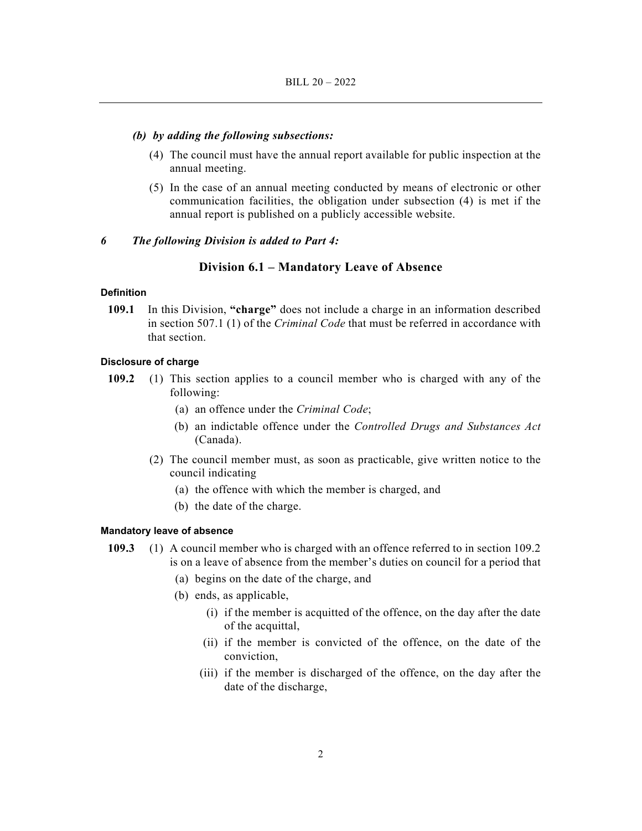#### *(b) by adding the following subsections:*

- (4) The council must have the annual report available for public inspection at the annual meeting.
- (5) In the case of an annual meeting conducted by means of electronic or other communication facilities, the obligation under subsection (4) is met if the annual report is published on a publicly accessible website.

#### *6 The following Division is added to Part 4:*

## **Division 6.1 – Mandatory Leave of Absence**

## **Definition**

**109.1** In this Division, **"charge"** does not include a charge in an information described in section 507.1 (1) of the *Criminal Code* that must be referred in accordance with that section.

#### **Disclosure of charge**

- **109.2** (1) This section applies to a council member who is charged with any of the following:
	- (a) an offence under the *Criminal Code*;
	- (b) an indictable offence under the *Controlled Drugs and Substances Act* (Canada).
	- (2) The council member must, as soon as practicable, give written notice to the council indicating
		- (a) the offence with which the member is charged, and
		- (b) the date of the charge.

#### **Mandatory leave of absence**

- **109.3** (1) A council member who is charged with an offence referred to in section 109.2 is on a leave of absence from the member's duties on council for a period that
	- (a) begins on the date of the charge, and
	- (b) ends, as applicable,
		- (i) if the member is acquitted of the offence, on the day after the date of the acquittal,
		- (ii) if the member is convicted of the offence, on the date of the conviction,
		- (iii) if the member is discharged of the offence, on the day after the date of the discharge,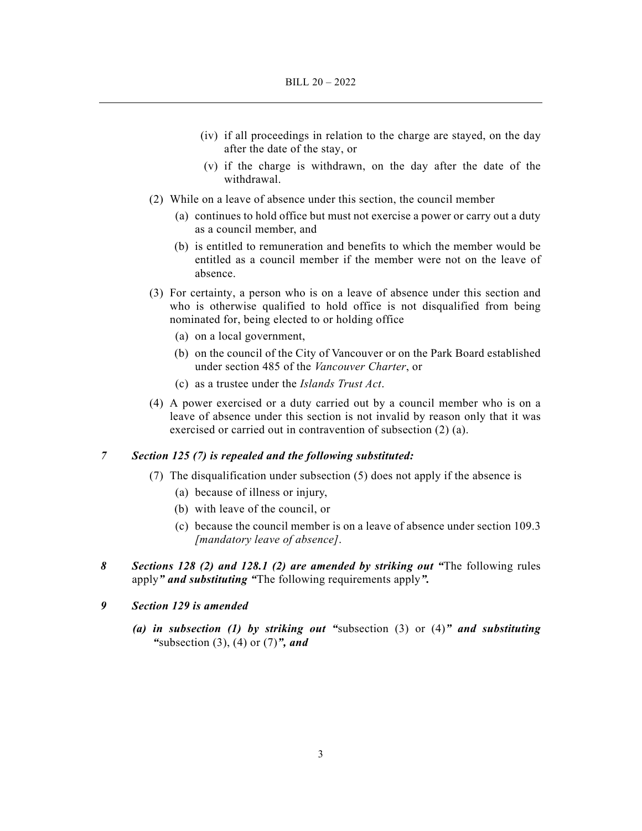- (iv) if all proceedings in relation to the charge are stayed, on the day after the date of the stay, or
- (v) if the charge is withdrawn, on the day after the date of the withdrawal.
- (2) While on a leave of absence under this section, the council member
	- (a) continues to hold office but must not exercise a power or carry out a duty as a council member, and
	- (b) is entitled to remuneration and benefits to which the member would be entitled as a council member if the member were not on the leave of absence.
- (3) For certainty, a person who is on a leave of absence under this section and who is otherwise qualified to hold office is not disqualified from being nominated for, being elected to or holding office
	- (a) on a local government,
	- (b) on the council of the City of Vancouver or on the Park Board established under section 485 of the *Vancouver Charter*, or
	- (c) as a trustee under the *Islands Trust Act*.
- (4) A power exercised or a duty carried out by a council member who is on a leave of absence under this section is not invalid by reason only that it was exercised or carried out in contravention of subsection (2) (a).

## *7 Section 125 (7) is repealed and the following substituted:*

- (7) The disqualification under subsection (5) does not apply if the absence is
	- (a) because of illness or injury,
	- (b) with leave of the council, or
	- (c) because the council member is on a leave of absence under section 109.3 *[mandatory leave of absence]*.
- *8 Sections 128 (2) and 128.1 (2) are amended by striking out "*The following rules apply*" and substituting "*The following requirements apply*".*
- *9 Section 129 is amended* 
	- *(a) in subsection (1) by striking out "*subsection (3) or (4)*" and substituting "*subsection (3), (4) or (7)*", and*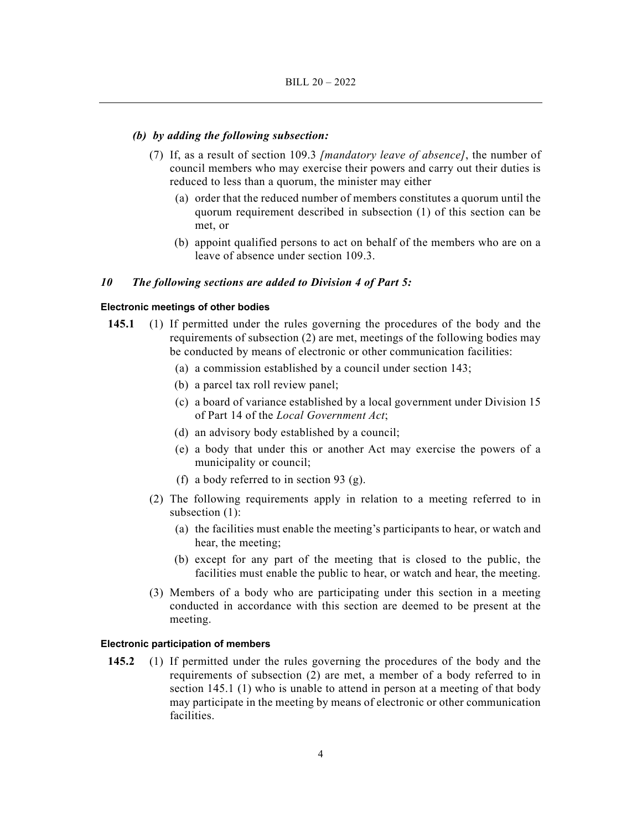#### *(b) by adding the following subsection:*

- (7) If, as a result of section 109.3 *[mandatory leave of absence]*, the number of council members who may exercise their powers and carry out their duties is reduced to less than a quorum, the minister may either
	- (a) order that the reduced number of members constitutes a quorum until the quorum requirement described in subsection (1) of this section can be met, or
	- (b) appoint qualified persons to act on behalf of the members who are on a leave of absence under section 109.3.

#### *10 The following sections are added to Division 4 of Part 5:*

#### **Electronic meetings of other bodies**

- **145.1** (1) If permitted under the rules governing the procedures of the body and the requirements of subsection (2) are met, meetings of the following bodies may be conducted by means of electronic or other communication facilities:
	- (a) a commission established by a council under section 143;
	- (b) a parcel tax roll review panel;
	- (c) a board of variance established by a local government under Division 15 of Part 14 of the *Local Government Act*;
	- (d) an advisory body established by a council;
	- (e) a body that under this or another Act may exercise the powers of a municipality or council;
	- (f) a body referred to in section 93 (g).
	- (2) The following requirements apply in relation to a meeting referred to in subsection (1):
		- (a) the facilities must enable the meeting's participants to hear, or watch and hear, the meeting;
		- (b) except for any part of the meeting that is closed to the public, the facilities must enable the public to hear, or watch and hear, the meeting.
	- (3) Members of a body who are participating under this section in a meeting conducted in accordance with this section are deemed to be present at the meeting.

#### **Electronic participation of members**

**145.2** (1) If permitted under the rules governing the procedures of the body and the requirements of subsection (2) are met, a member of a body referred to in section 145.1 (1) who is unable to attend in person at a meeting of that body may participate in the meeting by means of electronic or other communication facilities.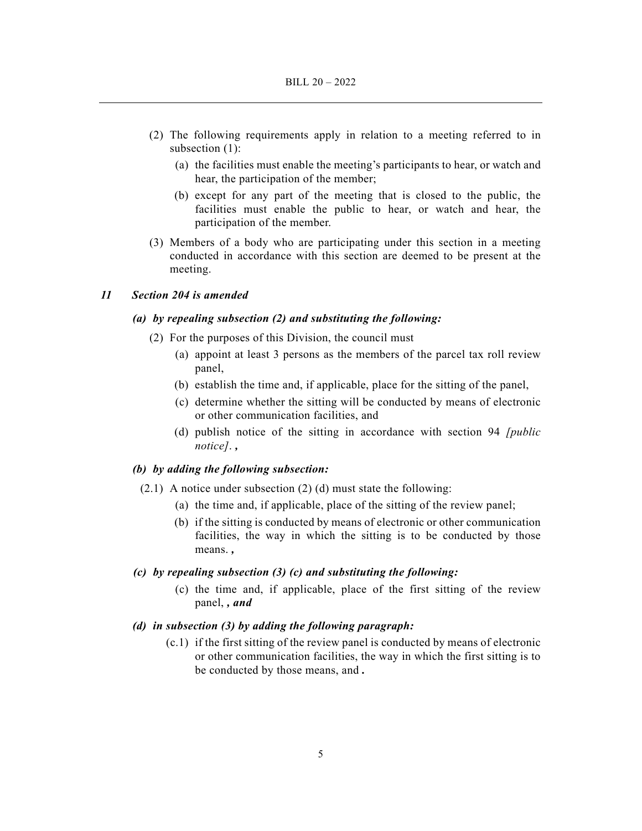- (2) The following requirements apply in relation to a meeting referred to in subsection (1):
	- (a) the facilities must enable the meeting's participants to hear, or watch and hear, the participation of the member;
	- (b) except for any part of the meeting that is closed to the public, the facilities must enable the public to hear, or watch and hear, the participation of the member.
- (3) Members of a body who are participating under this section in a meeting conducted in accordance with this section are deemed to be present at the meeting.

## *11 Section 204 is amended*

## *(a) by repealing subsection (2) and substituting the following:*

- (2) For the purposes of this Division, the council must
	- (a) appoint at least 3 persons as the members of the parcel tax roll review panel,
	- (b) establish the time and, if applicable, place for the sitting of the panel,
	- (c) determine whether the sitting will be conducted by means of electronic or other communication facilities, and
	- (d) publish notice of the sitting in accordance with section 94 *[public notice]*. *,*

## *(b) by adding the following subsection:*

- (2.1) A notice under subsection (2) (d) must state the following:
	- (a) the time and, if applicable, place of the sitting of the review panel;
	- (b) if the sitting is conducted by means of electronic or other communication facilities, the way in which the sitting is to be conducted by those means. *,*

## *(c) by repealing subsection (3) (c) and substituting the following:*

 (c) the time and, if applicable, place of the first sitting of the review panel, *, and*

## *(d) in subsection (3) by adding the following paragraph:*

 (c.1) if the first sitting of the review panel is conducted by means of electronic or other communication facilities, the way in which the first sitting is to be conducted by those means, and *.*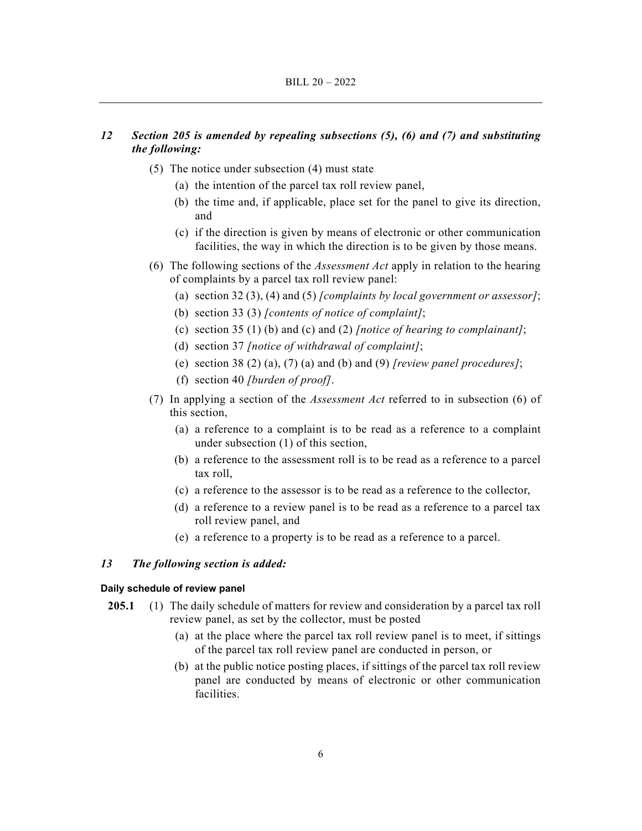## *12 Section 205 is amended by repealing subsections (5), (6) and (7) and substituting the following:*

- (5) The notice under subsection (4) must state
	- (a) the intention of the parcel tax roll review panel,
	- (b) the time and, if applicable, place set for the panel to give its direction, and
	- (c) if the direction is given by means of electronic or other communication facilities, the way in which the direction is to be given by those means.
- (6) The following sections of the *Assessment Act* apply in relation to the hearing of complaints by a parcel tax roll review panel:
	- (a) section 32 (3), (4) and (5) *[complaints by local government or assessor]*;
	- (b) section 33 (3) *[contents of notice of complaint]*;
	- (c) section 35 (1) (b) and (c) and (2) *[notice of hearing to complainant]*;
	- (d) section 37 *[notice of withdrawal of complaint]*;
	- (e) section 38 (2) (a), (7) (a) and (b) and (9) *[review panel procedures]*;
	- (f) section 40 *[burden of proof]*.
- (7) In applying a section of the *Assessment Act* referred to in subsection (6) of this section,
	- (a) a reference to a complaint is to be read as a reference to a complaint under subsection (1) of this section,
	- (b) a reference to the assessment roll is to be read as a reference to a parcel tax roll,
	- (c) a reference to the assessor is to be read as a reference to the collector,
	- (d) a reference to a review panel is to be read as a reference to a parcel tax roll review panel, and
	- (e) a reference to a property is to be read as a reference to a parcel.

## *13 The following section is added:*

#### **Daily schedule of review panel**

- **205.1** (1) The daily schedule of matters for review and consideration by a parcel tax roll review panel, as set by the collector, must be posted
	- (a) at the place where the parcel tax roll review panel is to meet, if sittings of the parcel tax roll review panel are conducted in person, or
	- (b) at the public notice posting places, if sittings of the parcel tax roll review panel are conducted by means of electronic or other communication facilities.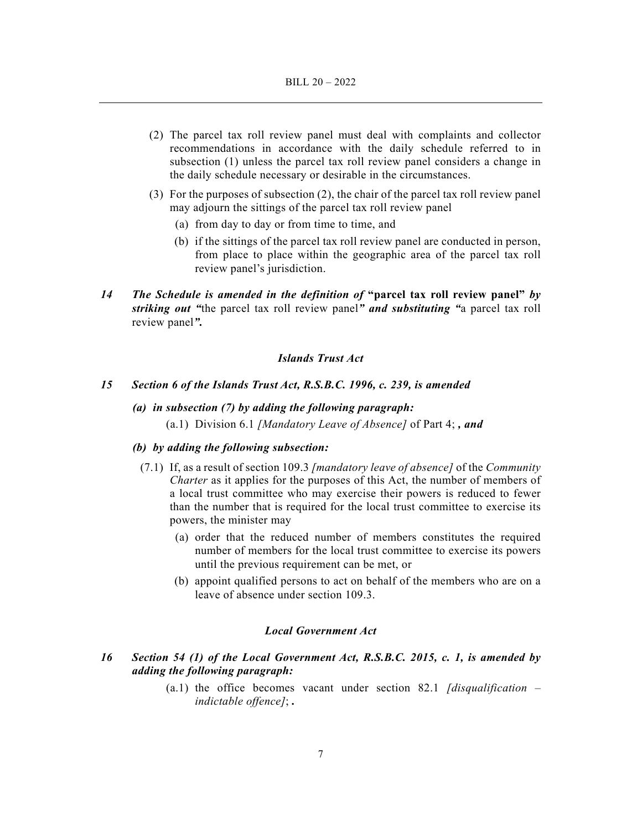- (2) The parcel tax roll review panel must deal with complaints and collector recommendations in accordance with the daily schedule referred to in subsection (1) unless the parcel tax roll review panel considers a change in the daily schedule necessary or desirable in the circumstances.
- (3) For the purposes of subsection (2), the chair of the parcel tax roll review panel may adjourn the sittings of the parcel tax roll review panel
	- (a) from day to day or from time to time, and
	- (b) if the sittings of the parcel tax roll review panel are conducted in person, from place to place within the geographic area of the parcel tax roll review panel's jurisdiction.
- *14 The Schedule is amended in the definition of* **"parcel tax roll review panel"** *by striking out "*the parcel tax roll review panel*" and substituting "*a parcel tax roll review panel*".*

## *Islands Trust Act*

#### *15 Section 6 of the Islands Trust Act, R.S.B.C. 1996, c. 239, is amended*

 *(a) in subsection (7) by adding the following paragraph:*  (a.1) Division 6.1 *[Mandatory Leave of Absence]* of Part 4; *, and*

#### *(b) by adding the following subsection:*

- (7.1) If, as a result of section 109.3 *[mandatory leave of absence]* of the *Community Charter* as it applies for the purposes of this Act, the number of members of a local trust committee who may exercise their powers is reduced to fewer than the number that is required for the local trust committee to exercise its powers, the minister may
	- (a) order that the reduced number of members constitutes the required number of members for the local trust committee to exercise its powers until the previous requirement can be met, or
	- (b) appoint qualified persons to act on behalf of the members who are on a leave of absence under section 109.3.

#### *Local Government Act*

- *16 Section 54 (1) of the Local Government Act, R.S.B.C. 2015, c. 1, is amended by adding the following paragraph:* 
	- (a.1) the office becomes vacant under section 82.1 *[disqualification indictable offence]*; *.*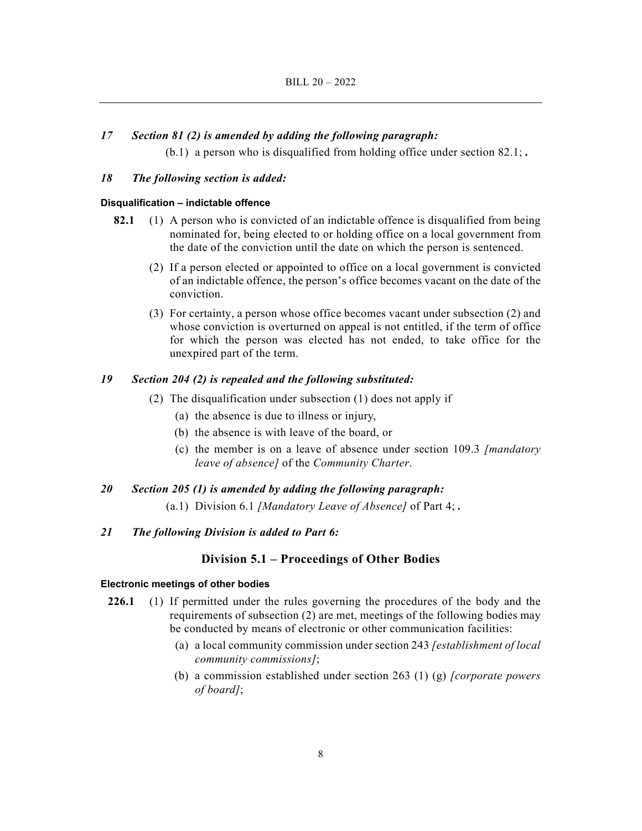## *17 Section 81 (2) is amended by adding the following paragraph:*

(b.1) a person who is disqualified from holding office under section 82.1; *.*

## *18 The following section is added:*

## **Disqualification – indictable offence**

- **82.1** (1) A person who is convicted of an indictable offence is disqualified from being nominated for, being elected to or holding office on a local government from the date of the conviction until the date on which the person is sentenced.
	- (2) If a person elected or appointed to office on a local government is convicted of an indictable offence, the person's office becomes vacant on the date of the conviction.
	- (3) For certainty, a person whose office becomes vacant under subsection (2) and whose conviction is overturned on appeal is not entitled, if the term of office for which the person was elected has not ended, to take office for the unexpired part of the term.

#### *19 Section 204 (2) is repealed and the following substituted:*

- (2) The disqualification under subsection (1) does not apply if
	- (a) the absence is due to illness or injury,
	- (b) the absence is with leave of the board, or
	- (c) the member is on a leave of absence under section 109.3 *[mandatory leave of absence]* of the *Community Charter*.

## *20 Section 205 (1) is amended by adding the following paragraph:*

(a.1) Division 6.1 *[Mandatory Leave of Absence]* of Part 4; *.*

### *21 The following Division is added to Part 6:*

#### **Division 5.1 – Proceedings of Other Bodies**

#### **Electronic meetings of other bodies**

- **226.1** (1) If permitted under the rules governing the procedures of the body and the requirements of subsection (2) are met, meetings of the following bodies may be conducted by means of electronic or other communication facilities:
	- (a) a local community commission under section 243 *[establishment of local community commissions]*;
	- (b) a commission established under section 263 (1) (g) *[corporate powers of board]*;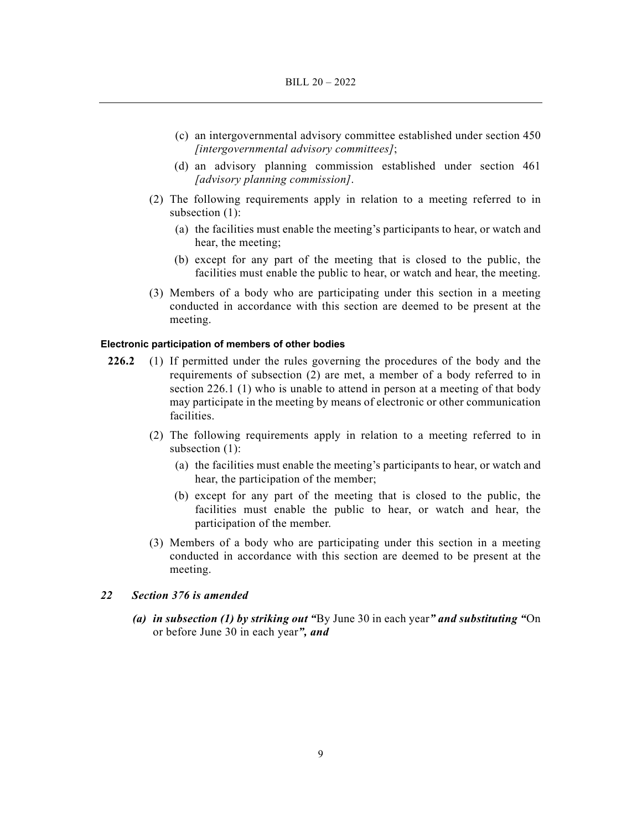- (c) an intergovernmental advisory committee established under section 450 *[intergovernmental advisory committees]*;
- (d) an advisory planning commission established under section 461 *[advisory planning commission]*.
- (2) The following requirements apply in relation to a meeting referred to in subsection (1):
	- (a) the facilities must enable the meeting's participants to hear, or watch and hear, the meeting;
	- (b) except for any part of the meeting that is closed to the public, the facilities must enable the public to hear, or watch and hear, the meeting.
- (3) Members of a body who are participating under this section in a meeting conducted in accordance with this section are deemed to be present at the meeting.

### **Electronic participation of members of other bodies**

- **226.2** (1) If permitted under the rules governing the procedures of the body and the requirements of subsection (2) are met, a member of a body referred to in section 226.1 (1) who is unable to attend in person at a meeting of that body may participate in the meeting by means of electronic or other communication facilities.
	- (2) The following requirements apply in relation to a meeting referred to in subsection (1):
		- (a) the facilities must enable the meeting's participants to hear, or watch and hear, the participation of the member;
		- (b) except for any part of the meeting that is closed to the public, the facilities must enable the public to hear, or watch and hear, the participation of the member.
	- (3) Members of a body who are participating under this section in a meeting conducted in accordance with this section are deemed to be present at the meeting.

## *22 Section 376 is amended*

 *(a) in subsection (1) by striking out "*By June 30 in each year*" and substituting "*On or before June 30 in each year*", and*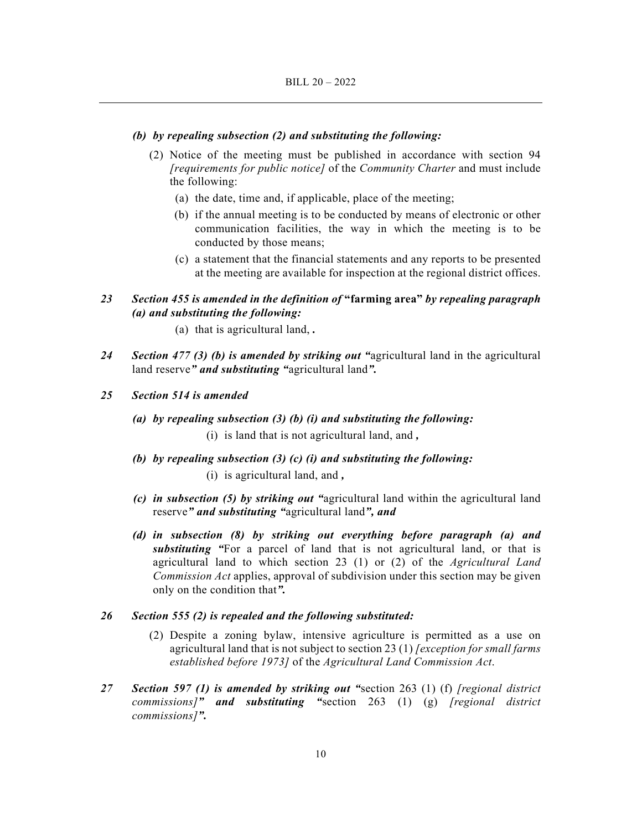#### *(b) by repealing subsection (2) and substituting the following:*

- (2) Notice of the meeting must be published in accordance with section 94 *[requirements for public notice]* of the *Community Charter* and must include the following:
	- (a) the date, time and, if applicable, place of the meeting;
	- (b) if the annual meeting is to be conducted by means of electronic or other communication facilities, the way in which the meeting is to be conducted by those means;
	- (c) a statement that the financial statements and any reports to be presented at the meeting are available for inspection at the regional district offices.

## *23 Section 455 is amended in the definition of* **"farming area"** *by repealing paragraph (a) and substituting the following:*

- (a) that is agricultural land, *.*
- *24 Section 477 (3) (b) is amended by striking out "*agricultural land in the agricultural land reserve*" and substituting "*agricultural land*".*
- *25 Section 514 is amended* 
	- *(a) by repealing subsection (3) (b) (i) and substituting the following:*  (i) is land that is not agricultural land, and *,*
	- *(b) by repealing subsection (3) (c) (i) and substituting the following:* 
		- (i) is agricultural land, and *,*
	- *(c) in subsection (5) by striking out "*agricultural land within the agricultural land reserve*" and substituting "*agricultural land*", and*
	- *(d) in subsection (8) by striking out everything before paragraph (a) and substituting "*For a parcel of land that is not agricultural land, or that is agricultural land to which section 23 (1) or (2) of the *Agricultural Land Commission Act* applies, approval of subdivision under this section may be given only on the condition that*".*

#### *26 Section 555 (2) is repealed and the following substituted:*

- (2) Despite a zoning bylaw, intensive agriculture is permitted as a use on agricultural land that is not subject to section 23 (1) *[exception for small farms established before 1973]* of the *Agricultural Land Commission Act*.
- *27 Section 597 (1) is amended by striking out "*section 263 (1) (f) *[regional district commissions]" and substituting "*section 263 (1) (g) *[regional district commissions]".*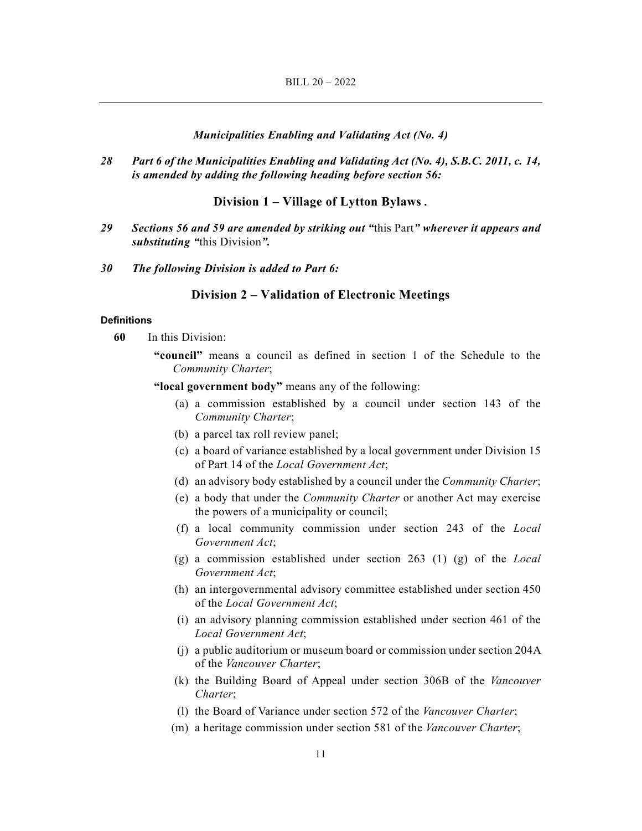#### *Municipalities Enabling and Validating Act (No. 4)*

*28 Part 6 of the Municipalities Enabling and Validating Act (No. 4), S.B.C. 2011, c. 14, is amended by adding the following heading before section 56:* 

## **Division 1 – Village of Lytton Bylaws** *.*

- *29 Sections 56 and 59 are amended by striking out "*this Part*" wherever it appears and substituting "*this Division*".*
- *30 The following Division is added to Part 6:*

## **Division 2 – Validation of Electronic Meetings**

#### **Definitions**

**60** In this Division:

**"council"** means a council as defined in section 1 of the Schedule to the *Community Charter*;

**"local government body"** means any of the following:

- (a) a commission established by a council under section 143 of the *Community Charter*;
- (b) a parcel tax roll review panel;
- (c) a board of variance established by a local government under Division 15 of Part 14 of the *Local Government Act*;
- (d) an advisory body established by a council under the *Community Charter*;
- (e) a body that under the *Community Charter* or another Act may exercise the powers of a municipality or council;
- (f) a local community commission under section 243 of the *Local Government Act*;
- (g) a commission established under section 263 (1) (g) of the *Local Government Act*;
- (h) an intergovernmental advisory committee established under section 450 of the *Local Government Act*;
- (i) an advisory planning commission established under section 461 of the *Local Government Act*;
- (j) a public auditorium or museum board or commission under section 204A of the *Vancouver Charter*;
- (k) the Building Board of Appeal under section 306B of the *Vancouver Charter*;
- (l) the Board of Variance under section 572 of the *Vancouver Charter*;
- (m) a heritage commission under section 581 of the *Vancouver Charter*;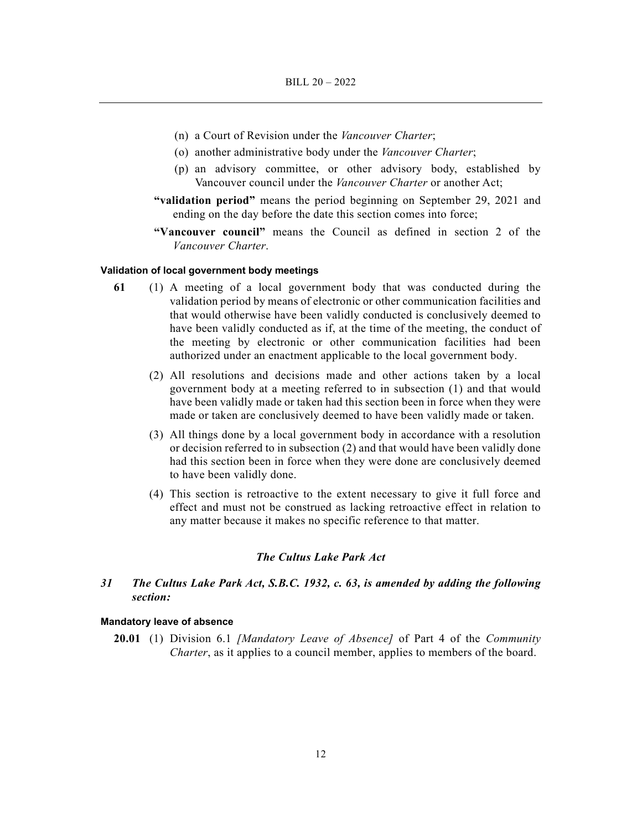- (n) a Court of Revision under the *Vancouver Charter*;
- (o) another administrative body under the *Vancouver Charter*;
- (p) an advisory committee, or other advisory body, established by Vancouver council under the *Vancouver Charter* or another Act;
- **"validation period"** means the period beginning on September 29, 2021 and ending on the day before the date this section comes into force;
- **"Vancouver council"** means the Council as defined in section 2 of the *Vancouver Charter*.

#### **Validation of local government body meetings**

- **61** (1) A meeting of a local government body that was conducted during the validation period by means of electronic or other communication facilities and that would otherwise have been validly conducted is conclusively deemed to have been validly conducted as if, at the time of the meeting, the conduct of the meeting by electronic or other communication facilities had been authorized under an enactment applicable to the local government body.
	- (2) All resolutions and decisions made and other actions taken by a local government body at a meeting referred to in subsection (1) and that would have been validly made or taken had this section been in force when they were made or taken are conclusively deemed to have been validly made or taken.
	- (3) All things done by a local government body in accordance with a resolution or decision referred to in subsection (2) and that would have been validly done had this section been in force when they were done are conclusively deemed to have been validly done.
	- (4) This section is retroactive to the extent necessary to give it full force and effect and must not be construed as lacking retroactive effect in relation to any matter because it makes no specific reference to that matter.

### *The Cultus Lake Park Act*

## *31 The Cultus Lake Park Act, S.B.C. 1932, c. 63, is amended by adding the following section:*

#### **Mandatory leave of absence**

**20.01** (1) Division 6.1 *[Mandatory Leave of Absence]* of Part 4 of the *Community Charter*, as it applies to a council member, applies to members of the board.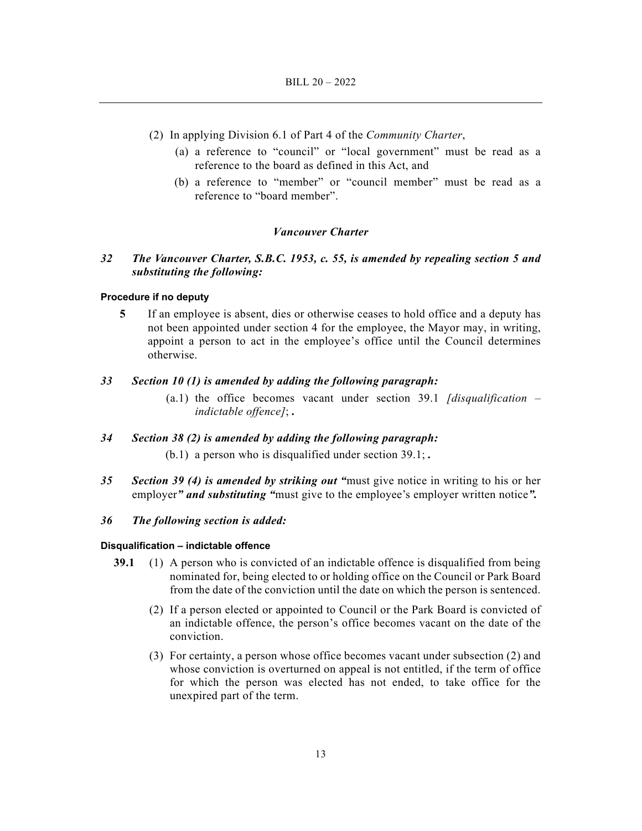- (2) In applying Division 6.1 of Part 4 of the *Community Charter*,
	- (a) a reference to "council" or "local government" must be read as a reference to the board as defined in this Act, and
	- (b) a reference to "member" or "council member" must be read as a reference to "board member".

#### *Vancouver Charter*

## *32 The Vancouver Charter, S.B.C. 1953, c. 55, is amended by repealing section 5 and substituting the following:*

### **Procedure if no deputy**

**5** If an employee is absent, dies or otherwise ceases to hold office and a deputy has not been appointed under section 4 for the employee, the Mayor may, in writing, appoint a person to act in the employee's office until the Council determines otherwise.

## *33 Section 10 (1) is amended by adding the following paragraph:*

 (a.1) the office becomes vacant under section 39.1 *[disqualification – indictable offence]*; *.*

#### *34 Section 38 (2) is amended by adding the following paragraph:*

- (b.1) a person who is disqualified under section 39.1; *.*
- *35 Section 39 (4) is amended by striking out "*must give notice in writing to his or her employer*" and substituting "*must give to the employee's employer written notice*".*

#### *36 The following section is added:*

#### **Disqualification – indictable offence**

- **39.1** (1) A person who is convicted of an indictable offence is disqualified from being nominated for, being elected to or holding office on the Council or Park Board from the date of the conviction until the date on which the person is sentenced.
	- (2) If a person elected or appointed to Council or the Park Board is convicted of an indictable offence, the person's office becomes vacant on the date of the conviction.
	- (3) For certainty, a person whose office becomes vacant under subsection (2) and whose conviction is overturned on appeal is not entitled, if the term of office for which the person was elected has not ended, to take office for the unexpired part of the term.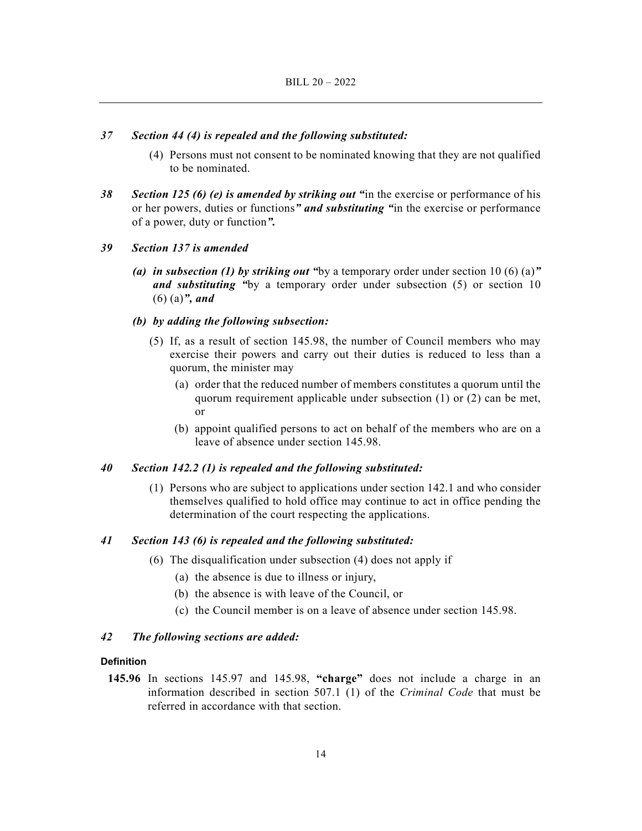## *37 Section 44 (4) is repealed and the following substituted:*

- (4) Persons must not consent to be nominated knowing that they are not qualified to be nominated.
- *38 Section 125 (6) (e) is amended by striking out "*in the exercise or performance of his or her powers, duties or functions*" and substituting "*in the exercise or performance of a power, duty or function*".*
- *39 Section 137 is amended* 
	- *(a) in subsection (1) by striking out "*by a temporary order under section 10 (6) (a)*" and substituting "*by a temporary order under subsection (5) or section 10 (6) (a)*", and*

#### *(b) by adding the following subsection:*

- (5) If, as a result of section 145.98, the number of Council members who may exercise their powers and carry out their duties is reduced to less than a quorum, the minister may
	- (a) order that the reduced number of members constitutes a quorum until the quorum requirement applicable under subsection (1) or (2) can be met, or
	- (b) appoint qualified persons to act on behalf of the members who are on a leave of absence under section 145.98.

#### *40 Section 142.2 (1) is repealed and the following substituted:*

 (1) Persons who are subject to applications under section 142.1 and who consider themselves qualified to hold office may continue to act in office pending the determination of the court respecting the applications.

## *41 Section 143 (6) is repealed and the following substituted:*

- (6) The disqualification under subsection (4) does not apply if
	- (a) the absence is due to illness or injury,
	- (b) the absence is with leave of the Council, or
	- (c) the Council member is on a leave of absence under section 145.98.

### *42 The following sections are added:*

#### **Definition**

**145.96** In sections 145.97 and 145.98, **"charge"** does not include a charge in an information described in section 507.1 (1) of the *Criminal Code* that must be referred in accordance with that section.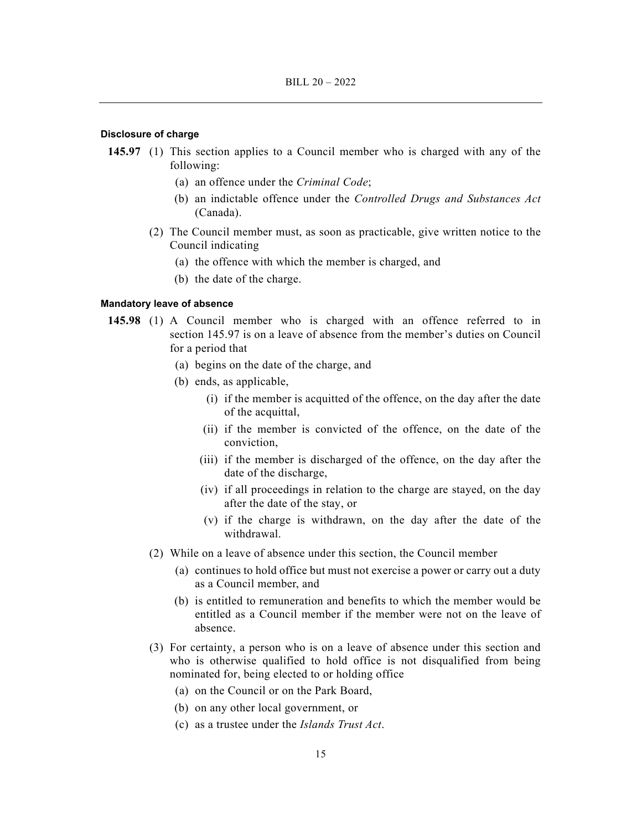#### **Disclosure of charge**

- **145.97** (1) This section applies to a Council member who is charged with any of the following:
	- (a) an offence under the *Criminal Code*;
	- (b) an indictable offence under the *Controlled Drugs and Substances Act* (Canada).
	- (2) The Council member must, as soon as practicable, give written notice to the Council indicating
		- (a) the offence with which the member is charged, and
		- (b) the date of the charge.

#### **Mandatory leave of absence**

- **145.98** (1) A Council member who is charged with an offence referred to in section 145.97 is on a leave of absence from the member's duties on Council for a period that
	- (a) begins on the date of the charge, and
	- (b) ends, as applicable,
		- (i) if the member is acquitted of the offence, on the day after the date of the acquittal,
		- (ii) if the member is convicted of the offence, on the date of the conviction,
		- (iii) if the member is discharged of the offence, on the day after the date of the discharge,
		- (iv) if all proceedings in relation to the charge are stayed, on the day after the date of the stay, or
		- (v) if the charge is withdrawn, on the day after the date of the withdrawal.
	- (2) While on a leave of absence under this section, the Council member
		- (a) continues to hold office but must not exercise a power or carry out a duty as a Council member, and
		- (b) is entitled to remuneration and benefits to which the member would be entitled as a Council member if the member were not on the leave of absence.
	- (3) For certainty, a person who is on a leave of absence under this section and who is otherwise qualified to hold office is not disqualified from being nominated for, being elected to or holding office
		- (a) on the Council or on the Park Board,
		- (b) on any other local government, or
		- (c) as a trustee under the *Islands Trust Act*.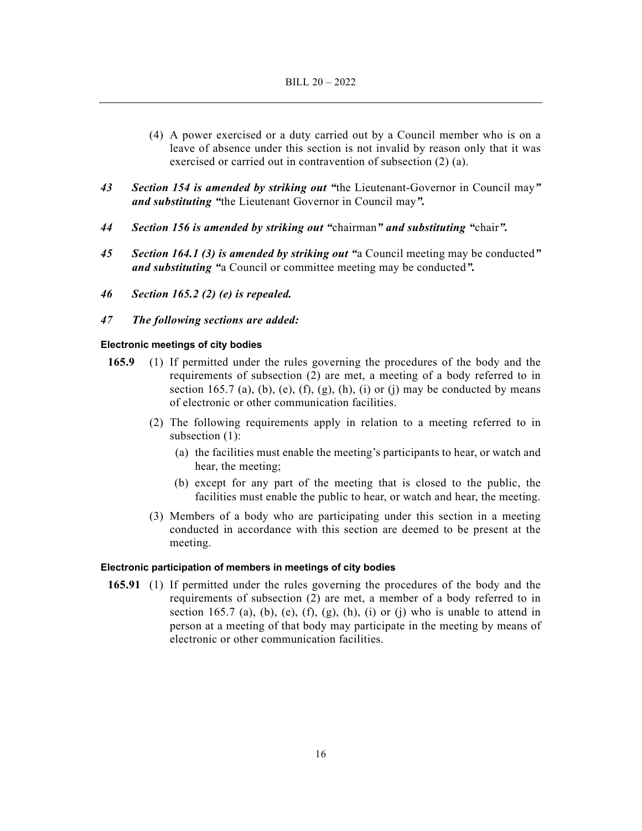- (4) A power exercised or a duty carried out by a Council member who is on a leave of absence under this section is not invalid by reason only that it was exercised or carried out in contravention of subsection (2) (a).
- *43 Section 154 is amended by striking out "*the Lieutenant-Governor in Council may*" and substituting "*the Lieutenant Governor in Council may*".*
- *44 Section 156 is amended by striking out "*chairman*" and substituting "*chair*".*
- *45 Section 164.1 (3) is amended by striking out "*a Council meeting may be conducted*" and substituting "*a Council or committee meeting may be conducted*".*
- *46 Section 165.2 (2) (e) is repealed.*
- *47 The following sections are added:*

#### **Electronic meetings of city bodies**

- **165.9** (1) If permitted under the rules governing the procedures of the body and the requirements of subsection (2) are met, a meeting of a body referred to in section 165.7 (a), (b), (e), (f), (g), (h), (i) or (j) may be conducted by means of electronic or other communication facilities.
	- (2) The following requirements apply in relation to a meeting referred to in subsection (1):
		- (a) the facilities must enable the meeting's participants to hear, or watch and hear, the meeting;
		- (b) except for any part of the meeting that is closed to the public, the facilities must enable the public to hear, or watch and hear, the meeting.
	- (3) Members of a body who are participating under this section in a meeting conducted in accordance with this section are deemed to be present at the meeting.

#### **Electronic participation of members in meetings of city bodies**

**165.91** (1) If permitted under the rules governing the procedures of the body and the requirements of subsection (2) are met, a member of a body referred to in section 165.7 (a), (b), (e), (f), (g), (h), (i) or (j) who is unable to attend in person at a meeting of that body may participate in the meeting by means of electronic or other communication facilities.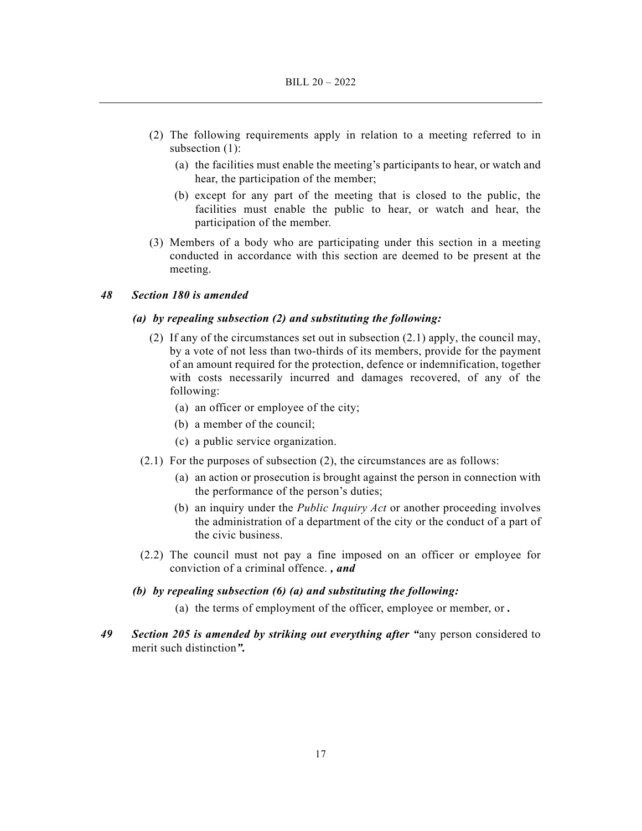- (2) The following requirements apply in relation to a meeting referred to in subsection (1):
	- (a) the facilities must enable the meeting's participants to hear, or watch and hear, the participation of the member;
	- (b) except for any part of the meeting that is closed to the public, the facilities must enable the public to hear, or watch and hear, the participation of the member.
- (3) Members of a body who are participating under this section in a meeting conducted in accordance with this section are deemed to be present at the meeting.

## *48 Section 180 is amended*

## *(a) by repealing subsection (2) and substituting the following:*

- (2) If any of the circumstances set out in subsection (2.1) apply, the council may, by a vote of not less than two-thirds of its members, provide for the payment of an amount required for the protection, defence or indemnification, together with costs necessarily incurred and damages recovered, of any of the following:
	- (a) an officer or employee of the city;
	- (b) a member of the council;
	- (c) a public service organization.
- (2.1) For the purposes of subsection (2), the circumstances are as follows:
	- (a) an action or prosecution is brought against the person in connection with the performance of the person's duties;
	- (b) an inquiry under the *Public Inquiry Act* or another proceeding involves the administration of a department of the city or the conduct of a part of the civic business.
- (2.2) The council must not pay a fine imposed on an officer or employee for conviction of a criminal offence. *, and*

#### *(b) by repealing subsection (6) (a) and substituting the following:*

- (a) the terms of employment of the officer, employee or member, or *.*
- *49 Section 205 is amended by striking out everything after "*any person considered to merit such distinction*".*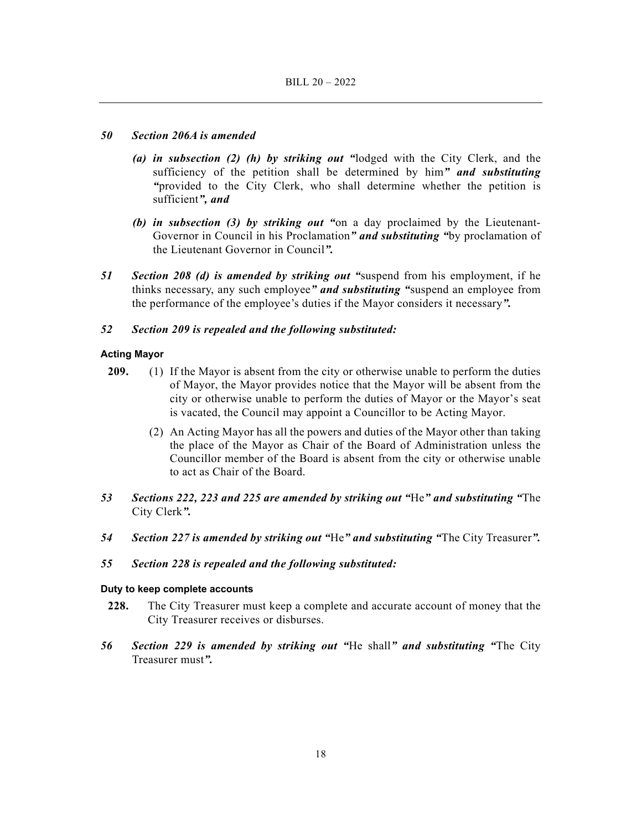## *50 Section 206A is amended*

- *(a) in subsection (2) (h) by striking out "*lodged with the City Clerk, and the sufficiency of the petition shall be determined by him*" and substituting "*provided to the City Clerk, who shall determine whether the petition is sufficient*", and*
- *(b) in subsection (3) by striking out "*on a day proclaimed by the Lieutenant-Governor in Council in his Proclamation*" and substituting "*by proclamation of the Lieutenant Governor in Council*".*
- *51 Section 208 (d) is amended by striking out "*suspend from his employment, if he thinks necessary, any such employee*" and substituting "*suspend an employee from the performance of the employee's duties if the Mayor considers it necessary*".*

## *52 Section 209 is repealed and the following substituted:*

## **Acting Mayor**

- **209.** (1) If the Mayor is absent from the city or otherwise unable to perform the duties of Mayor, the Mayor provides notice that the Mayor will be absent from the city or otherwise unable to perform the duties of Mayor or the Mayor's seat is vacated, the Council may appoint a Councillor to be Acting Mayor.
	- (2) An Acting Mayor has all the powers and duties of the Mayor other than taking the place of the Mayor as Chair of the Board of Administration unless the Councillor member of the Board is absent from the city or otherwise unable to act as Chair of the Board.
- *53 Sections 222, 223 and 225 are amended by striking out "*He*" and substituting "*The City Clerk*".*
- *54 Section 227 is amended by striking out "*He*" and substituting "*The City Treasurer*".*

## *55 Section 228 is repealed and the following substituted:*

## **Duty to keep complete accounts**

- **228.** The City Treasurer must keep a complete and accurate account of money that the City Treasurer receives or disburses.
- *56 Section 229 is amended by striking out "*He shall*" and substituting "*The City Treasurer must*".*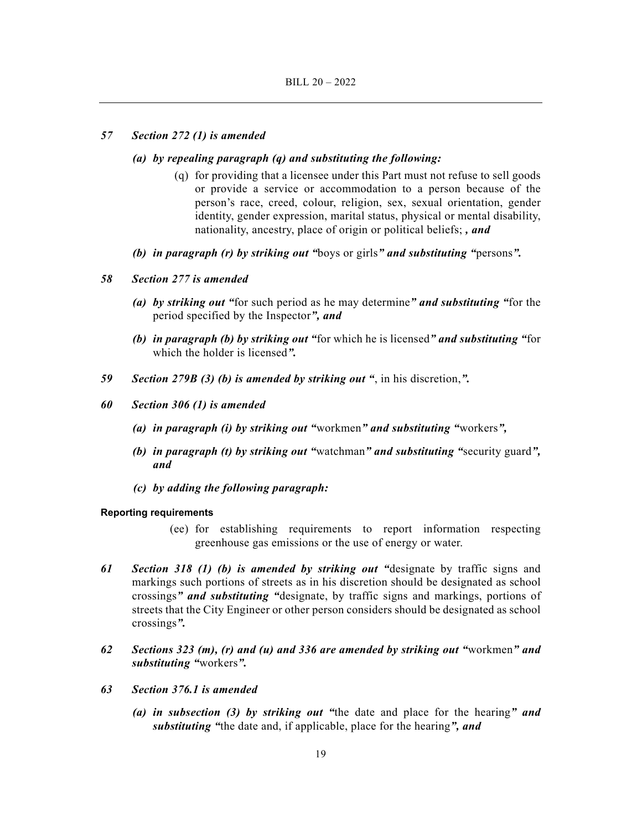#### *57 Section 272 (1) is amended*

- *(a) by repealing paragraph (q) and substituting the following:* 
	- (q) for providing that a licensee under this Part must not refuse to sell goods or provide a service or accommodation to a person because of the person's race, creed, colour, religion, sex, sexual orientation, gender identity, gender expression, marital status, physical or mental disability, nationality, ancestry, place of origin or political beliefs; *, and*
- *(b) in paragraph (r) by striking out "*boys or girls*" and substituting "*persons*".*

## *58 Section 277 is amended*

- *(a) by striking out "*for such period as he may determine*" and substituting "*for the period specified by the Inspector*", and*
- *(b) in paragraph (b) by striking out "*for which he is licensed*" and substituting "*for which the holder is licensed*".*
- *59 Section 279B (3) (b) is amended by striking out "*, in his discretion,*".*
- *60 Section 306 (1) is amended* 
	- *(a) in paragraph (i) by striking out "*workmen*" and substituting "*workers*",*
	- *(b) in paragraph (t) by striking out "*watchman*" and substituting "*security guard*", and*
	- *(c) by adding the following paragraph:*

#### **Reporting requirements**

- (ee) for establishing requirements to report information respecting greenhouse gas emissions or the use of energy or water.
- *61 Section 318 (1) (b) is amended by striking out "*designate by traffic signs and markings such portions of streets as in his discretion should be designated as school crossings*" and substituting "*designate, by traffic signs and markings, portions of streets that the City Engineer or other person considers should be designated as school crossings*".*
- *62 Sections 323 (m), (r) and (u) and 336 are amended by striking out "*workmen*" and substituting "*workers*".*
- *63 Section 376.1 is amended* 
	- *(a) in subsection (3) by striking out "*the date and place for the hearing*" and substituting "*the date and, if applicable, place for the hearing*", and*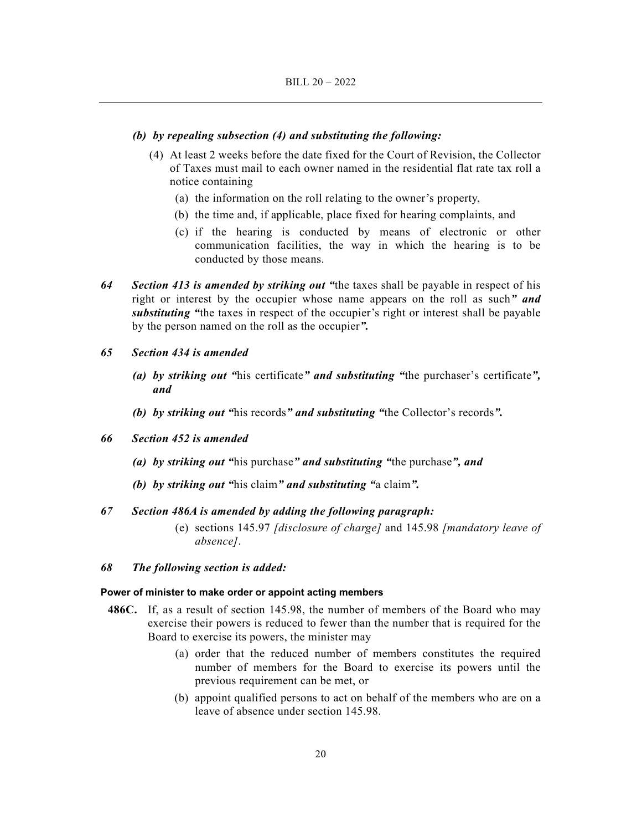#### *(b) by repealing subsection (4) and substituting the following:*

- (4) At least 2 weeks before the date fixed for the Court of Revision, the Collector of Taxes must mail to each owner named in the residential flat rate tax roll a notice containing
	- (a) the information on the roll relating to the owner's property,
	- (b) the time and, if applicable, place fixed for hearing complaints, and
	- (c) if the hearing is conducted by means of electronic or other communication facilities, the way in which the hearing is to be conducted by those means.
- *64 Section 413 is amended by striking out "*the taxes shall be payable in respect of his right or interest by the occupier whose name appears on the roll as such*" and substituting "*the taxes in respect of the occupier's right or interest shall be payable by the person named on the roll as the occupier*".*
- *65 Section 434 is amended* 
	- *(a) by striking out "*his certificate*" and substituting "*the purchaser's certificate*", and*
	- *(b) by striking out "*his records*" and substituting "*the Collector's records*".*
- *66 Section 452 is amended* 
	- *(a) by striking out "*his purchase*" and substituting "*the purchase*", and*
	- *(b) by striking out "*his claim*" and substituting "*a claim*".*

#### *67 Section 486A is amended by adding the following paragraph:*

 (e) sections 145.97 *[disclosure of charge]* and 145.98 *[mandatory leave of absence]*.

#### *68 The following section is added:*

#### **Power of minister to make order or appoint acting members**

- **486C.** If, as a result of section 145.98, the number of members of the Board who may exercise their powers is reduced to fewer than the number that is required for the Board to exercise its powers, the minister may
	- (a) order that the reduced number of members constitutes the required number of members for the Board to exercise its powers until the previous requirement can be met, or
	- (b) appoint qualified persons to act on behalf of the members who are on a leave of absence under section 145.98.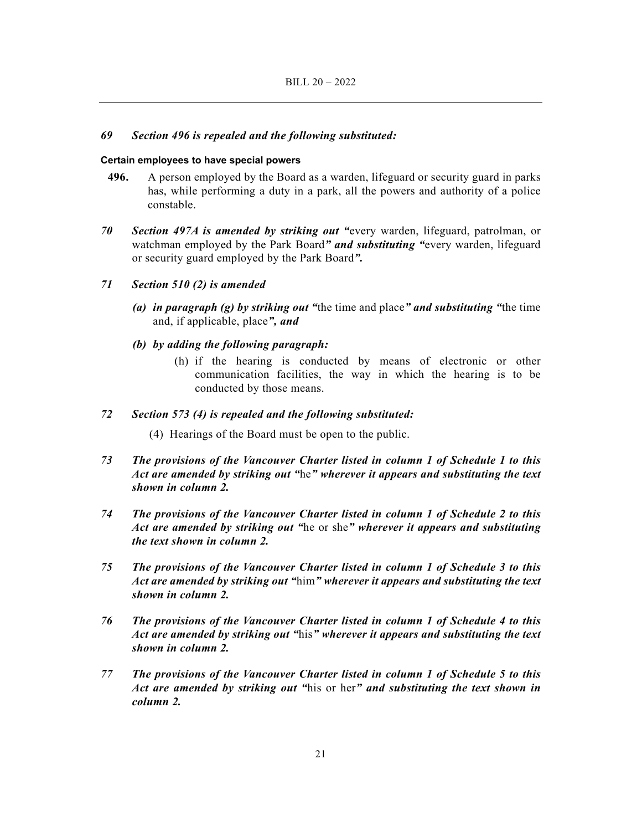## *69 Section 496 is repealed and the following substituted:*

#### **Certain employees to have special powers**

- **496.** A person employed by the Board as a warden, lifeguard or security guard in parks has, while performing a duty in a park, all the powers and authority of a police constable.
- *70 Section 497A is amended by striking out "*every warden, lifeguard, patrolman, or watchman employed by the Park Board*" and substituting "*every warden, lifeguard or security guard employed by the Park Board*".*

## *71 Section 510 (2) is amended*

- *(a) in paragraph (g) by striking out "*the time and place*" and substituting "*the time and, if applicable, place*", and*
- *(b) by adding the following paragraph:* 
	- (h) if the hearing is conducted by means of electronic or other communication facilities, the way in which the hearing is to be conducted by those means.

### *72 Section 573 (4) is repealed and the following substituted:*

- (4) Hearings of the Board must be open to the public.
- *73 The provisions of the Vancouver Charter listed in column 1 of Schedule 1 to this Act are amended by striking out "*he*" wherever it appears and substituting the text shown in column 2.*
- *74 The provisions of the Vancouver Charter listed in column 1 of Schedule 2 to this Act are amended by striking out "*he or she*" wherever it appears and substituting the text shown in column 2.*
- *75 The provisions of the Vancouver Charter listed in column 1 of Schedule 3 to this Act are amended by striking out "*him*" wherever it appears and substituting the text shown in column 2.*
- *76 The provisions of the Vancouver Charter listed in column 1 of Schedule 4 to this Act are amended by striking out "*his*" wherever it appears and substituting the text shown in column 2.*
- *77 The provisions of the Vancouver Charter listed in column 1 of Schedule 5 to this Act are amended by striking out "*his or her*" and substituting the text shown in column 2.*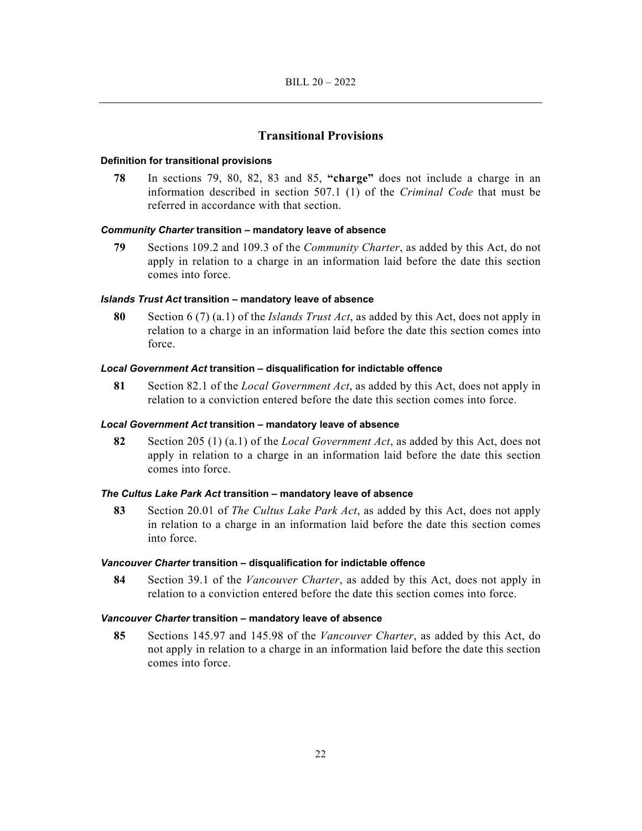## **Transitional Provisions**

#### **Definition for transitional provisions**

**78** In sections 79, 80, 82, 83 and 85, **"charge"** does not include a charge in an information described in section 507.1 (1) of the *Criminal Code* that must be referred in accordance with that section.

#### *Community Charter* **transition – mandatory leave of absence**

**79** Sections 109.2 and 109.3 of the *Community Charter*, as added by this Act, do not apply in relation to a charge in an information laid before the date this section comes into force.

#### *Islands Trust Act* **transition – mandatory leave of absence**

**80** Section 6 (7) (a.1) of the *Islands Trust Act*, as added by this Act, does not apply in relation to a charge in an information laid before the date this section comes into force.

#### *Local Government Act* **transition – disqualification for indictable offence**

**81** Section 82.1 of the *Local Government Act*, as added by this Act, does not apply in relation to a conviction entered before the date this section comes into force.

#### *Local Government Act* **transition – mandatory leave of absence**

**82** Section 205 (1) (a.1) of the *Local Government Act*, as added by this Act, does not apply in relation to a charge in an information laid before the date this section comes into force.

#### *The Cultus Lake Park Act* **transition – mandatory leave of absence**

**83** Section 20.01 of *The Cultus Lake Park Act*, as added by this Act, does not apply in relation to a charge in an information laid before the date this section comes into force.

#### *Vancouver Charter* **transition – disqualification for indictable offence**

**84** Section 39.1 of the *Vancouver Charter*, as added by this Act, does not apply in relation to a conviction entered before the date this section comes into force.

#### *Vancouver Charter* **transition – mandatory leave of absence**

**85** Sections 145.97 and 145.98 of the *Vancouver Charter*, as added by this Act, do not apply in relation to a charge in an information laid before the date this section comes into force.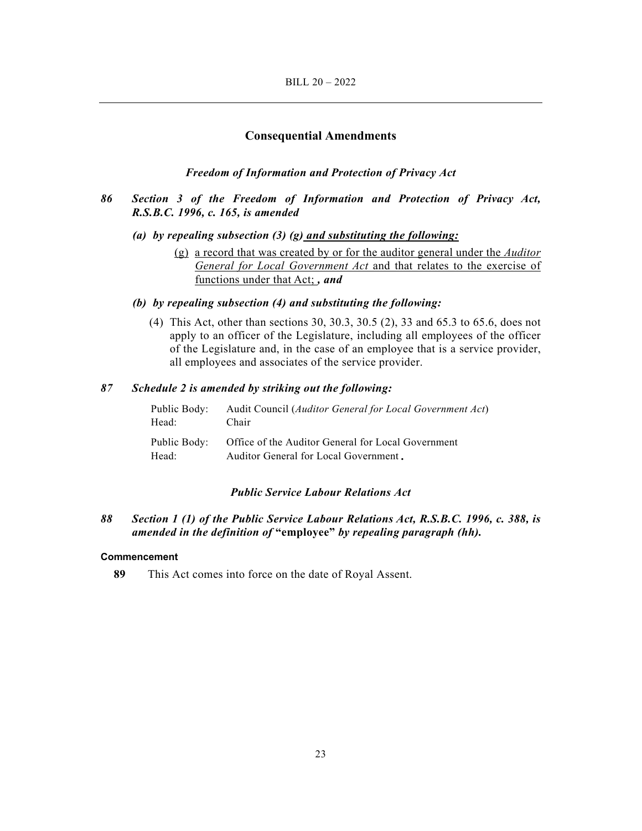#### **Consequential Amendments**

## *Freedom of Information and Protection of Privacy Act*

## *86 Section 3 of the Freedom of Information and Protection of Privacy Act, R.S.B.C. 1996, c. 165, is amended*

- *(a) by repealing subsection (3) (g) and substituting the following:* 
	- (g) a record that was created by or for the auditor general under the *Auditor General for Local Government Act* and that relates to the exercise of functions under that Act; *, and*
- *(b) by repealing subsection (4) and substituting the following:* 
	- (4) This Act, other than sections 30, 30.3, 30.5 (2), 33 and 65.3 to 65.6, does not apply to an officer of the Legislature, including all employees of the officer of the Legislature and, in the case of an employee that is a service provider, all employees and associates of the service provider.

## *87 Schedule 2 is amended by striking out the following:*

| Head: | Public Body: Audit Council (Auditor General for Local Government Act)<br>Chair                           |  |
|-------|----------------------------------------------------------------------------------------------------------|--|
| Head: | Public Body: Office of the Auditor General for Local Government<br>Auditor General for Local Government. |  |

### *Public Service Labour Relations Act*

*88 Section 1 (1) of the Public Service Labour Relations Act, R.S.B.C. 1996, c. 388, is amended in the definition of* **"employee"** *by repealing paragraph (hh).* 

#### **Commencement**

**89** This Act comes into force on the date of Royal Assent.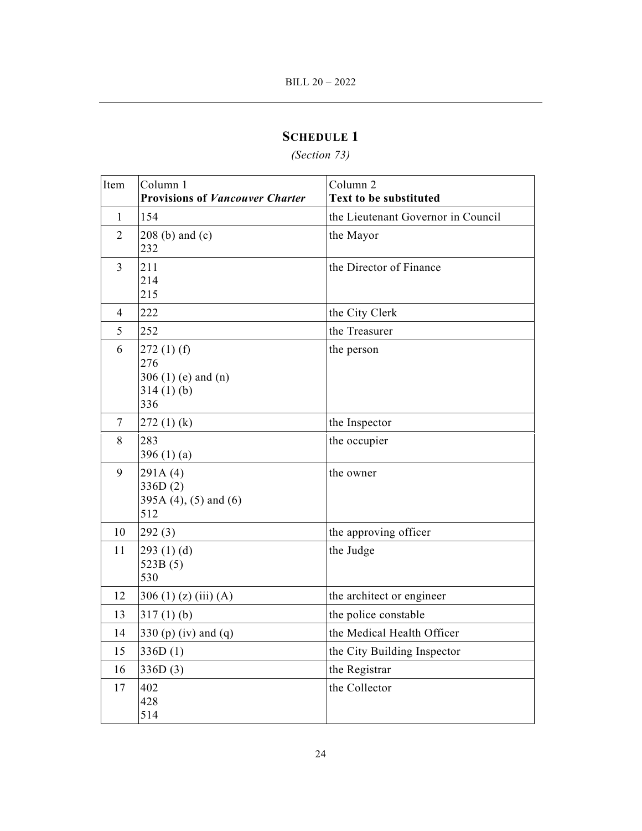## *(Section 73)*

| Item           | Column 1<br><b>Provisions of Vancouver Charter</b>              | Column <sub>2</sub><br><b>Text to be substituted</b> |
|----------------|-----------------------------------------------------------------|------------------------------------------------------|
| $\mathbf{1}$   | 154                                                             | the Lieutenant Governor in Council                   |
| $\overline{2}$ | $208$ (b) and (c)<br>232                                        | the Mayor                                            |
| 3              | 211<br>214<br>215                                               | the Director of Finance                              |
| 4              | 222                                                             | the City Clerk                                       |
| 5              | 252                                                             | the Treasurer                                        |
| 6              | 272(1)(f)<br>276<br>306 $(1)$ (e) and $(n)$<br>314(1)(b)<br>336 | the person                                           |
| $\overline{7}$ | 272(1)(k)                                                       | the Inspector                                        |
| 8              | 283<br>396 $(1)(a)$                                             | the occupier                                         |
| 9              | 291A(4)<br>336D(2)<br>395A $(4)$ , $(5)$ and $(6)$<br>512       | the owner                                            |
| 10             | 292(3)                                                          | the approving officer                                |
| 11             | 293 $(1)$ $(d)$<br>523B(5)<br>530                               | the Judge                                            |
| 12             | 306 (1) (z) (iii) (A)                                           | the architect or engineer                            |
| 13             | $317(1)$ (b)                                                    | the police constable                                 |
| 14             | 330 (p) (iv) and (q)                                            | the Medical Health Officer                           |
| 15             | 336D(1)                                                         | the City Building Inspector                          |
| 16             | 336D(3)                                                         | the Registrar                                        |
| 17             | 402<br>428<br>514                                               | the Collector                                        |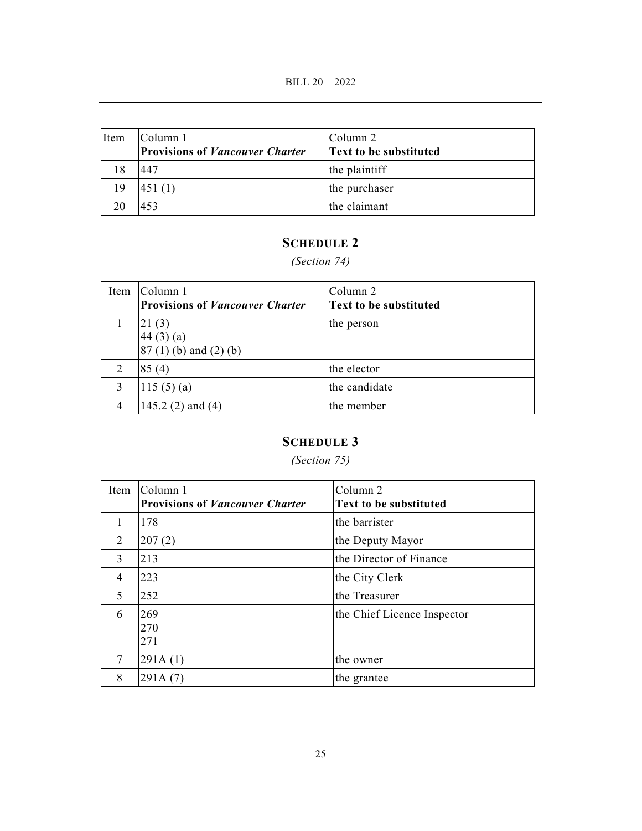| Item | lColumn 1<br><b>Provisions of Vancouver Charter</b> | Column 2<br><b>Text to be substituted</b> |
|------|-----------------------------------------------------|-------------------------------------------|
|      | 447                                                 | the plaintiff                             |
| 19   | 451(1)                                              | the purchaser                             |
|      | 453                                                 | the claimant                              |

*(Section 74)* 

|                | Item Column 1<br><b>Provisions of Vancouver Charter</b> | lColumn 2<br><b>Text to be substituted</b> |
|----------------|---------------------------------------------------------|--------------------------------------------|
|                | 21(3)<br>44(3)(a)<br>$87(1)$ (b) and (2) (b)            | the person                                 |
|                | 85(4)                                                   | the elector                                |
|                | 115 $(5)(a)$                                            | the candidate                              |
| $\overline{4}$ | 145.2 $(2)$ and $(4)$                                   | the member                                 |

# **SCHEDULE 3**

## *(Section 75)*

| Item           | Column 1<br><b>Provisions of Vancouver Charter</b> | Column 2<br><b>Text to be substituted</b> |
|----------------|----------------------------------------------------|-------------------------------------------|
| 1              | 178                                                | the barrister                             |
| 2              | 207(2)                                             | the Deputy Mayor                          |
| 3              | 213                                                | the Director of Finance                   |
| $\overline{4}$ | 223                                                | the City Clerk                            |
| 5              | 252                                                | the Treasurer                             |
| 6              | 269<br>270<br>271                                  | the Chief Licence Inspector               |
| $\overline{7}$ | 291A(1)                                            | the owner                                 |
| 8              | 291A(7)                                            | the grantee                               |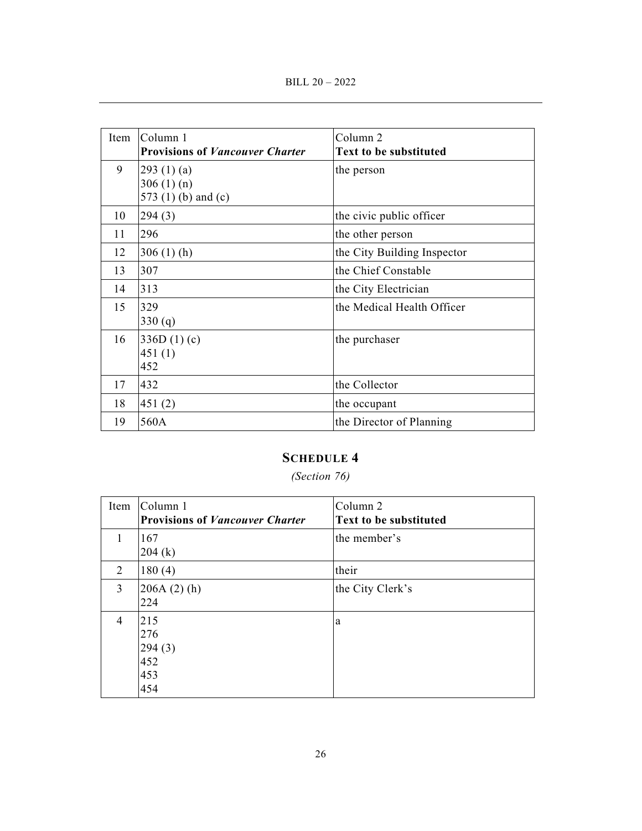| Item | Column 1<br><b>Provisions of Vancouver Charter</b>       | Column <sub>2</sub><br>Text to be substituted |
|------|----------------------------------------------------------|-----------------------------------------------|
| 9    | 293 $(1)$ $(a)$<br>306 $(1)(n)$<br>573 $(1)$ (b) and (c) | the person                                    |
| 10   | 294(3)                                                   | the civic public officer                      |
| 11   | 296                                                      | the other person                              |
| 12   | $306(1)$ (h)                                             | the City Building Inspector                   |
| 13   | 307                                                      | the Chief Constable                           |
| 14   | 313                                                      | the City Electrician                          |
| 15   | 329<br>330(q)                                            | the Medical Health Officer                    |
| 16   | 336D(1)(c)<br>451(1)<br>452                              | the purchaser                                 |
| 17   | 432                                                      | the Collector                                 |
| 18   | 451(2)                                                   | the occupant                                  |
| 19   | 560A                                                     | the Director of Planning                      |

## *(Section 76)*

| Item           | Column 1<br><b>Provisions of Vancouver Charter</b> | Column 2<br><b>Text to be substituted</b> |
|----------------|----------------------------------------------------|-------------------------------------------|
|                | 167<br>204 (k)                                     | the member's                              |
| 2              | 180(4)                                             | their                                     |
| 3              | $206A(2)$ (h)<br>224                               | the City Clerk's                          |
| $\overline{4}$ | 215<br>276<br>294(3)<br>452<br>453<br>454          | a                                         |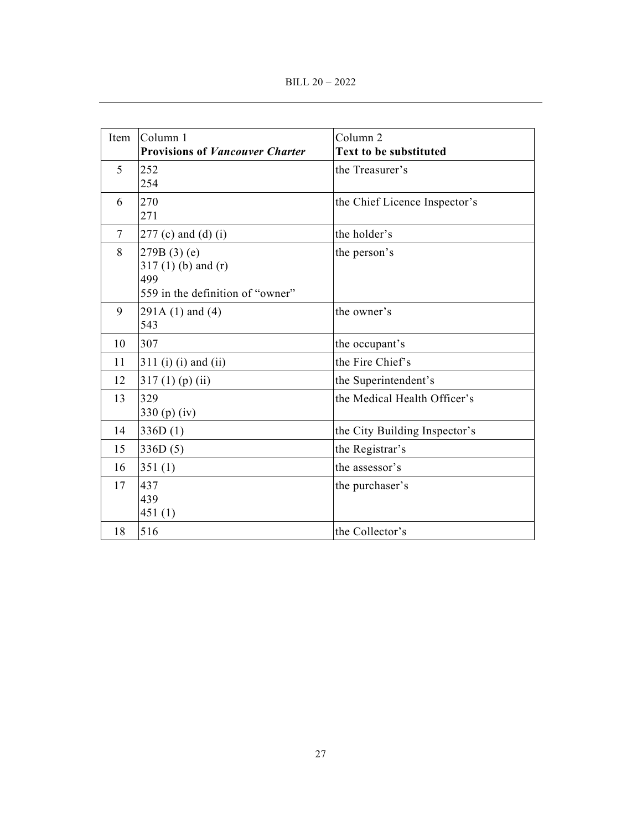| Item           | Column 1                               | Column <sub>2</sub>           |
|----------------|----------------------------------------|-------------------------------|
|                | <b>Provisions of Vancouver Charter</b> | <b>Text to be substituted</b> |
| 5              | 252                                    | the Treasurer's               |
|                | 254                                    |                               |
| 6              | 270                                    | the Chief Licence Inspector's |
|                | 271                                    |                               |
| $\overline{7}$ | $277$ (c) and (d) (i)                  | the holder's                  |
| 8              | $279B(3)$ (e)                          | the person's                  |
|                | $317(1)$ (b) and (r)<br>499            |                               |
|                | 559 in the definition of "owner"       |                               |
| 9              | $291A(1)$ and $(4)$                    | the owner's                   |
|                | 543                                    |                               |
| 10             | 307                                    | the occupant's                |
| 11             | $311$ (i) (i) and (ii)                 | the Fire Chief's              |
| 12             | $317(1)$ (p) (ii)                      | the Superintendent's          |
| 13             | 329                                    | the Medical Health Officer's  |
|                | 330 $(p)$ (iv)                         |                               |
| 14             | 336D(1)                                | the City Building Inspector's |
| 15             | 336D(5)                                | the Registrar's               |
| 16             | 351(1)                                 | the assessor's                |
| 17             | 437                                    | the purchaser's               |
|                | 439                                    |                               |
|                | 451(1)                                 |                               |
| 18             | 516                                    | the Collector's               |